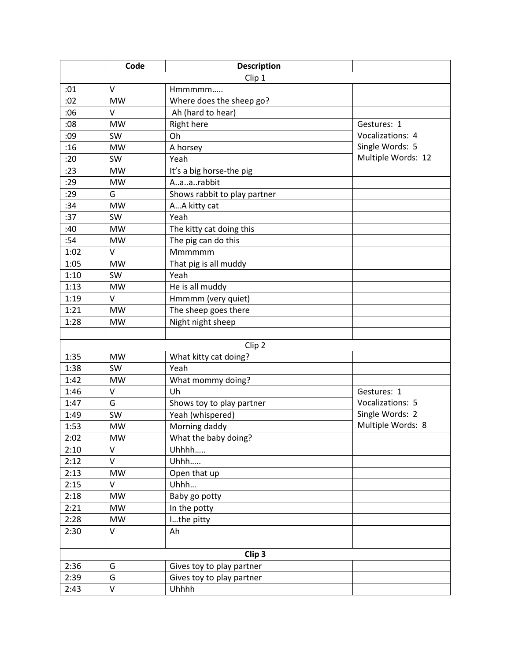|      | Code              | <b>Description</b>           |                    |  |  |  |
|------|-------------------|------------------------------|--------------------|--|--|--|
|      |                   | Clip 1                       |                    |  |  |  |
| :01  | $\vee$            | Hmmmmm                       |                    |  |  |  |
| :02  | <b>MW</b>         | Where does the sheep go?     |                    |  |  |  |
| :06  | $\vee$            | Ah (hard to hear)            |                    |  |  |  |
| :08  | <b>MW</b>         | <b>Right here</b>            | Gestures: 1        |  |  |  |
| :09  | SW                | Oh                           | Vocalizations: 4   |  |  |  |
| :16  | <b>MW</b>         | A horsey                     | Single Words: 5    |  |  |  |
| :20  | SW                | Yeah                         | Multiple Words: 12 |  |  |  |
| :23  | <b>MW</b>         | It's a big horse-the pig     |                    |  |  |  |
| :29  | <b>MW</b>         | Aaarabbit                    |                    |  |  |  |
| :29  | G                 | Shows rabbit to play partner |                    |  |  |  |
| :34  | <b>MW</b>         | AA kitty cat                 |                    |  |  |  |
| :37  | SW                | Yeah                         |                    |  |  |  |
| :40  | <b>MW</b>         | The kitty cat doing this     |                    |  |  |  |
| :54  | <b>MW</b>         | The pig can do this          |                    |  |  |  |
| 1:02 | $\vee$            | Mmmmmm                       |                    |  |  |  |
| 1:05 | <b>MW</b>         | That pig is all muddy        |                    |  |  |  |
| 1:10 | SW                | Yeah                         |                    |  |  |  |
| 1:13 | <b>MW</b>         | He is all muddy              |                    |  |  |  |
| 1:19 | $\vee$            | Hmmmm (very quiet)           |                    |  |  |  |
| 1:21 | <b>MW</b>         | The sheep goes there         |                    |  |  |  |
| 1:28 | <b>MW</b>         | Night night sheep            |                    |  |  |  |
|      |                   |                              |                    |  |  |  |
|      |                   | Clip <sub>2</sub>            |                    |  |  |  |
| 1:35 | <b>MW</b>         | What kitty cat doing?        |                    |  |  |  |
| 1:38 | SW                | Yeah                         |                    |  |  |  |
| 1:42 | <b>MW</b>         | What mommy doing?            |                    |  |  |  |
| 1:46 | V                 | Uh                           | Gestures: 1        |  |  |  |
| 1:47 | G                 | Shows toy to play partner    | Vocalizations: 5   |  |  |  |
| 1:49 | SW                | Yeah (whispered)             | Single Words: 2    |  |  |  |
| 1:53 | <b>MW</b>         | Morning daddy                | Multiple Words: 8  |  |  |  |
| 2:02 | <b>MW</b>         | What the baby doing?         |                    |  |  |  |
| 2:10 | $\vee$            | Uhhhh                        |                    |  |  |  |
| 2:12 | V                 | Uhhh                         |                    |  |  |  |
| 2:13 | <b>MW</b>         | Open that up                 |                    |  |  |  |
| 2:15 | $\vee$            | Uhhh                         |                    |  |  |  |
| 2:18 | MW                | Baby go potty                |                    |  |  |  |
| 2:21 | <b>MW</b>         | In the potty                 |                    |  |  |  |
| 2:28 | <b>MW</b>         | Ithe pitty                   |                    |  |  |  |
| 2:30 | V                 | Ah                           |                    |  |  |  |
|      |                   |                              |                    |  |  |  |
|      | Clip <sub>3</sub> |                              |                    |  |  |  |
| 2:36 | G                 | Gives toy to play partner    |                    |  |  |  |
| 2:39 | G                 | Gives toy to play partner    |                    |  |  |  |
| 2:43 | V                 | Uhhhh                        |                    |  |  |  |